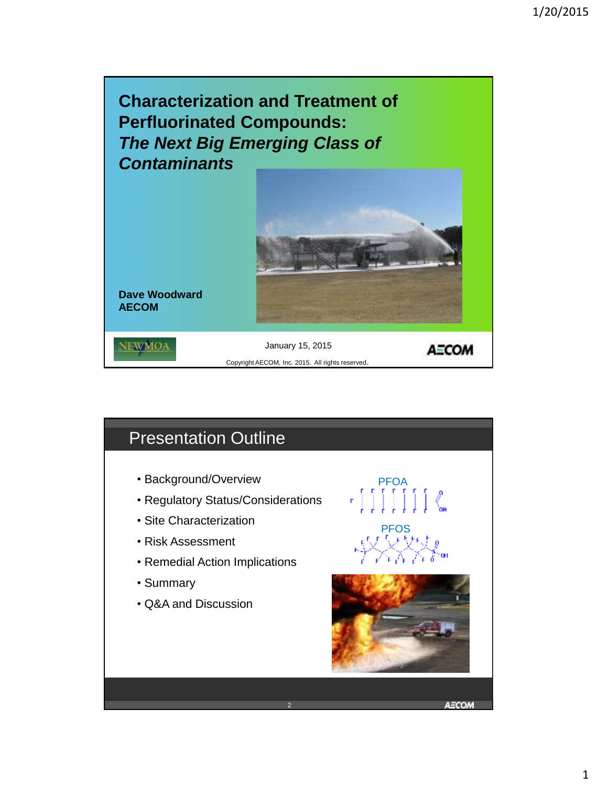

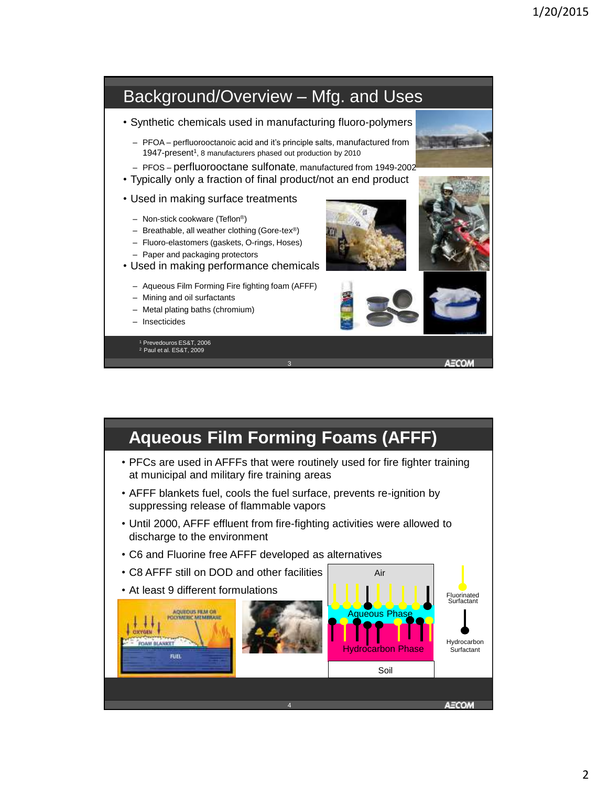

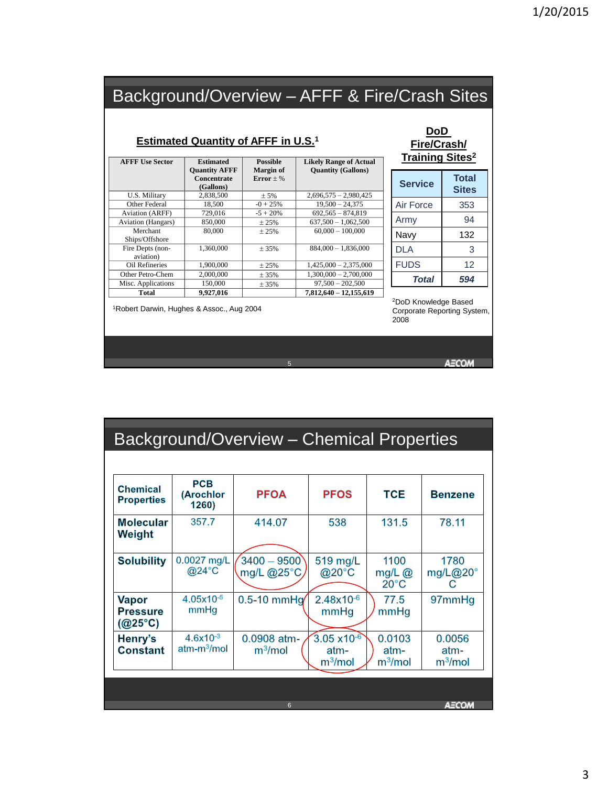## Background/Overview – AFFF & Fire/Crash Sites

### **Estimated Quantity of AFFF in U.S.<sup>1</sup>**

| <b>AFFF Use Sector</b>    | <b>Estimated</b><br><b>Ouantity AFFF</b><br>Concentrate<br>(Gallons) | <b>Possible</b><br><b>Margin of</b><br>$Error + %$ | <b>Likely Range of Actual</b><br><b>Quantity (Gallons)</b> |
|---------------------------|----------------------------------------------------------------------|----------------------------------------------------|------------------------------------------------------------|
| U.S. Military             | 2,838,500                                                            | ± 5%                                               | $2,696,575 - 2,980,425$                                    |
| Other Federal             | 18.500                                                               | $-0 + 25%$                                         | $19.500 - 24.375$                                          |
| <b>Aviation (ARFF)</b>    | 729,016                                                              | $-5 + 20%$                                         | $692.565 - 874.819$                                        |
| <b>Aviation</b> (Hangars) | 850,000                                                              | ± 25%                                              | $637,500 - 1,062,500$                                      |
| Merchant                  | 80,000                                                               | $+25%$                                             | $60,000 - 100,000$                                         |
| Ships/Offshore            |                                                                      |                                                    |                                                            |
| Fire Depts (non-          | 1.360,000                                                            | $+35%$                                             | $884,000 - 1,836,000$                                      |
| aviation)                 |                                                                      |                                                    |                                                            |
| Oil Refineries            | 1,900,000                                                            | ± 25%                                              | $1,425,000 - 2,375,000$                                    |
| Other Petro-Chem          | 2,000,000                                                            | ± 35%                                              | $1,300,000 - 2,700,000$                                    |
| Misc. Applications        | 150,000                                                              | ± 35%                                              | $97,500 - 202,500$                                         |
| <b>Total</b>              | 9.927.016                                                            |                                                    | $7.812.640 - 12.155.619$                                   |

#### **DoD Fire/Crash/ Training Sites<sup>2</sup>**

| <b>Service</b> | <b>Total</b><br><b>Sites</b> |
|----------------|------------------------------|
| Air Force      | 353                          |
| Army           | 94                           |
| Navy           | 132                          |
| DLA            | 3                            |
| <b>FUDS</b>    | 12                           |
| Total          | 594                          |

<sup>2</sup>DoD Knowledge Based Corporate Reporting System, 2008

<sup>1</sup>Robert Darwin, Hughes & Assoc., Aug 2004

**AECOM** 

| Background/Overview - Chemical Properties    |                                          |                                    |                                                              |                                       |                                       |
|----------------------------------------------|------------------------------------------|------------------------------------|--------------------------------------------------------------|---------------------------------------|---------------------------------------|
|                                              |                                          |                                    |                                                              |                                       |                                       |
| Chemical<br><b>Properties</b>                | <b>PCB</b><br>(Arochlor<br>1260)         | <b>PFOA</b>                        | <b>PFOS</b>                                                  | <b>TCE</b>                            | <b>Benzene</b>                        |
| <b>Molecular</b><br>Weight                   | 357.7                                    | 414.07                             | 538                                                          | 131.5                                 | 78.11                                 |
| <b>Solubility</b>                            | 0.0027 mg/L<br>$@24$ °C                  | $3400 - 9500$<br>mg/L @25°C        | 519 mg/L<br>@20°C                                            | 1100<br>mg/L $@$<br>$20^{\circ}$ C    | 1780<br>mg/L@20°<br>С                 |
| Vapor<br><b>Pressure</b><br>$(Q25^{\circ}C)$ | $4.05x10^{-5}$<br>mmHg                   | $0.5-10$ mmHg $/$                  | $2.48x10^{-6}$<br>mmHg                                       | 77.5<br>mmHg                          | 97mmHg                                |
| Henry's<br><b>Constant</b>                   | $4.6x10^{-3}$<br>atm-m <sup>3</sup> /mol | 0.0908 atm-<br>m <sup>3</sup> /mol | $3.05 \times 10^{-6}$<br>atm-<br>$\mathsf{m}^3\mathsf{/mol}$ | 0.0103<br>atm-<br>m <sup>3</sup> /mol | 0.0056<br>atm-<br>m <sup>3</sup> /mol |
|                                              |                                          |                                    |                                                              |                                       |                                       |
|                                              |                                          | 6                                  |                                                              |                                       | AECOM                                 |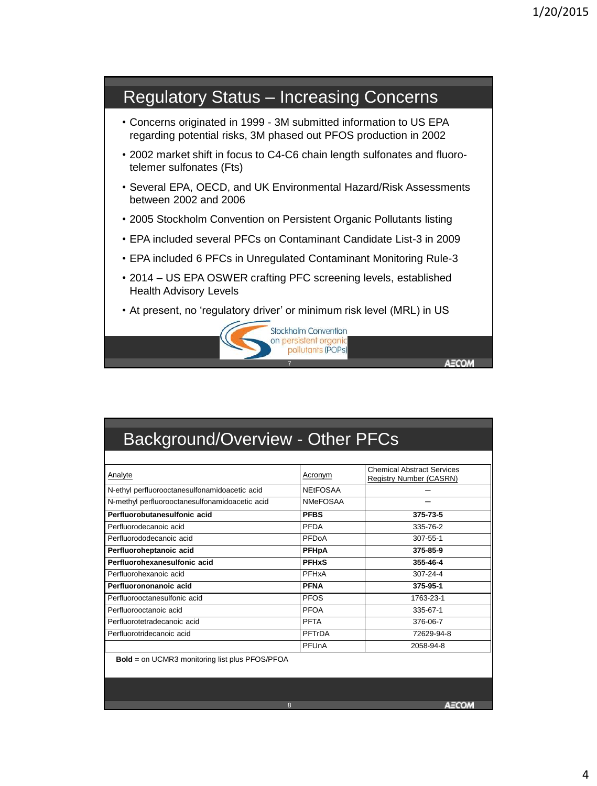

| Background/Overview - Other PFCs                      |                 |                                                              |  |
|-------------------------------------------------------|-----------------|--------------------------------------------------------------|--|
|                                                       |                 |                                                              |  |
| Analyte                                               | Acronym         | <b>Chemical Abstract Services</b><br>Registry Number (CASRN) |  |
| N-ethyl perfluorooctanesulfonamidoacetic acid         | <b>NEtFOSAA</b> |                                                              |  |
| N-methyl perfluorooctanesulfonamidoacetic acid        | <b>NMeFOSAA</b> |                                                              |  |
| Perfluorobutanesulfonic acid                          | <b>PFBS</b>     | 375-73-5                                                     |  |
| Perfluorodecanoic acid                                | PFDA            | 335-76-2                                                     |  |
| Perfluorododecanoic acid                              | PFDoA           | $307 - 55 - 1$                                               |  |
| Perfluoroheptanoic acid                               | PFHpA           | 375-85-9                                                     |  |
| Perfluorohexanesulfonic acid                          | <b>PFHxS</b>    | 355-46-4                                                     |  |
| Perfluorohexanoic acid                                | PFHxA           | 307-24-4                                                     |  |
| Perfluorononanoic acid                                | <b>PFNA</b>     | 375-95-1                                                     |  |
| Perfluorooctanesulfonic acid                          | <b>PFOS</b>     | 1763-23-1                                                    |  |
| Perfluorooctanoic acid                                | PFOA            | 335-67-1                                                     |  |
| Perfluorotetradecanoic acid                           | <b>PFTA</b>     | 376-06-7                                                     |  |
| Perfluorotridecanoic acid                             | PFTrDA          | 72629-94-8                                                   |  |
|                                                       | PFUnA           | 2058-94-8                                                    |  |
| <b>Bold</b> = on UCMR3 monitoring list plus PFOS/PFOA |                 |                                                              |  |
|                                                       |                 |                                                              |  |
|                                                       | 8               |                                                              |  |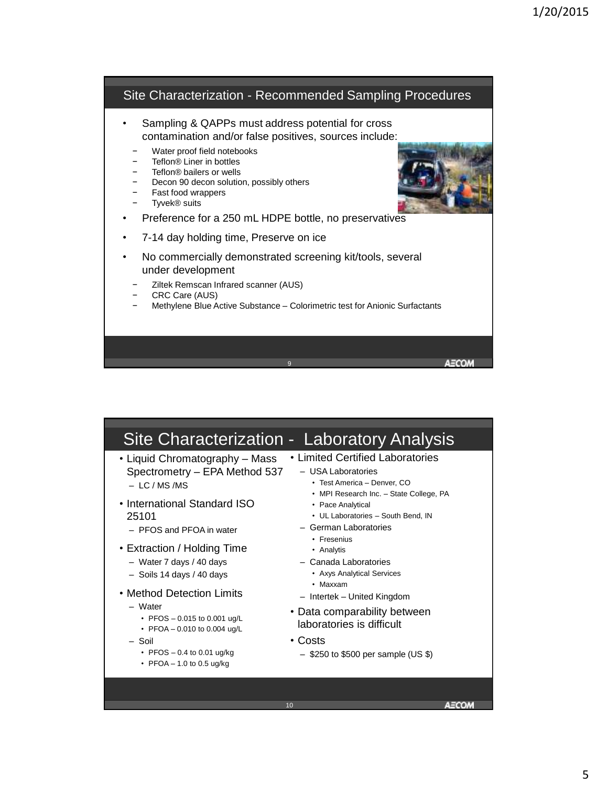

|                                                                                                                                                                               | Site Characterization - Laboratory Analysis                                                                                                           |
|-------------------------------------------------------------------------------------------------------------------------------------------------------------------------------|-------------------------------------------------------------------------------------------------------------------------------------------------------|
| • Liquid Chromatography – Mass<br>Spectrometry - EPA Method 537<br>$-$ IC/MS/MS<br>• International Standard ISO                                                               | • Limited Certified Laboratories<br>- USA Laboratories<br>• Test America - Denver, CO<br>• MPI Research Inc. - State College, PA<br>• Pace Analytical |
| 25101<br>- PFOS and PFOA in water                                                                                                                                             | • UL Laboratories - South Bend, IN<br>- German Laboratories<br>• Fresenius                                                                            |
| • Extraction / Holding Time<br>- Water 7 days / 40 days<br>$-$ Soils 14 days / 40 days                                                                                        | • Analytis<br>- Canada Laboratories<br>• Axys Analytical Services<br>• Maxxam                                                                         |
| • Method Detection Limits<br>- Water<br>• PFOS $-0.015$ to 0.001 ug/L<br>• PFOA - 0.010 to 0.004 ug/L<br>- Soil<br>• PFOS $-0.4$ to 0.01 ug/kg<br>• PFOA $-$ 1.0 to 0.5 ug/kg | - Intertek - United Kingdom<br>• Data comparability between<br>laboratories is difficult<br>• Costs<br>$-$ \$250 to \$500 per sample (US \$)          |
|                                                                                                                                                                               | 10                                                                                                                                                    |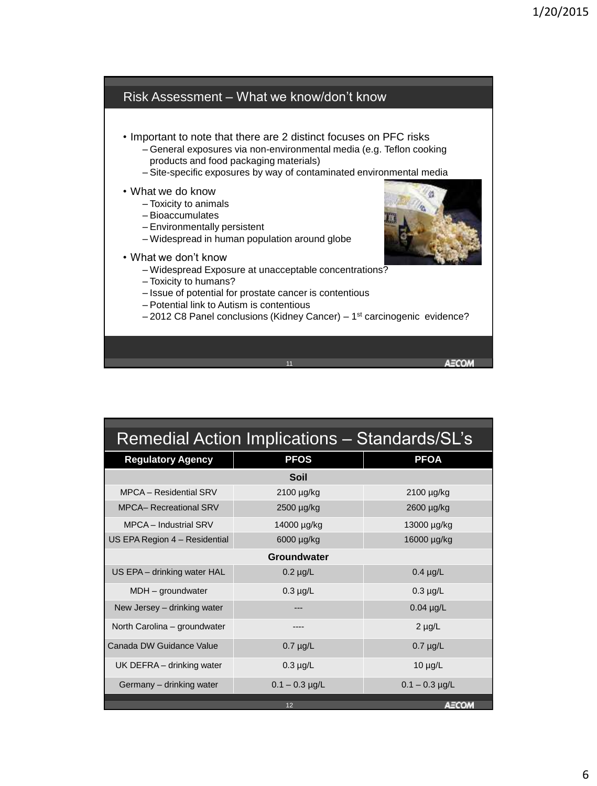

| Remedial Action Implications - Standards/SL's |                    |                  |  |  |  |
|-----------------------------------------------|--------------------|------------------|--|--|--|
| <b>Regulatory Agency</b>                      | <b>PFOS</b>        | <b>PFOA</b>      |  |  |  |
| <b>Soil</b>                                   |                    |                  |  |  |  |
| MPCA - Residential SRV                        | 2100 µg/kg         | 2100 µg/kg       |  |  |  |
| <b>MPCA- Recreational SRV</b>                 | 2500 µg/kg         | 2600 µg/kg       |  |  |  |
| MPCA - Industrial SRV                         | 14000 µg/kg        | 13000 µg/kg      |  |  |  |
| US EPA Region 4 - Residential                 | 6000 µg/kg         | 16000 µg/kg      |  |  |  |
|                                               | <b>Groundwater</b> |                  |  |  |  |
| US EPA - drinking water HAL                   | $0.2 \mu g/L$      | $0.4 \mu g/L$    |  |  |  |
| MDH - groundwater                             | $0.3 \mu g/L$      | $0.3 \mu g/L$    |  |  |  |
| New Jersey - drinking water                   |                    | $0.04$ µg/L      |  |  |  |
| North Carolina - groundwater                  |                    | $2 \mu g/L$      |  |  |  |
| Canada DW Guidance Value                      | $0.7 \mu g/L$      | $0.7 \mu g/L$    |  |  |  |
| UK DEFRA - drinking water                     | $0.3 \mu g/L$      | $10 \mu g/L$     |  |  |  |
| Germany - drinking water                      | $0.1 - 0.3$ µg/L   | $0.1 - 0.3$ µg/L |  |  |  |
| AECOM<br>12                                   |                    |                  |  |  |  |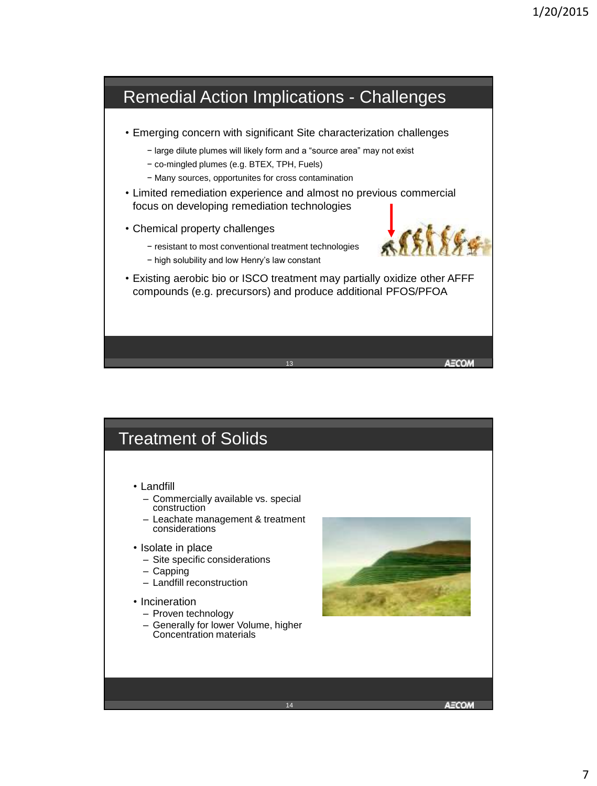

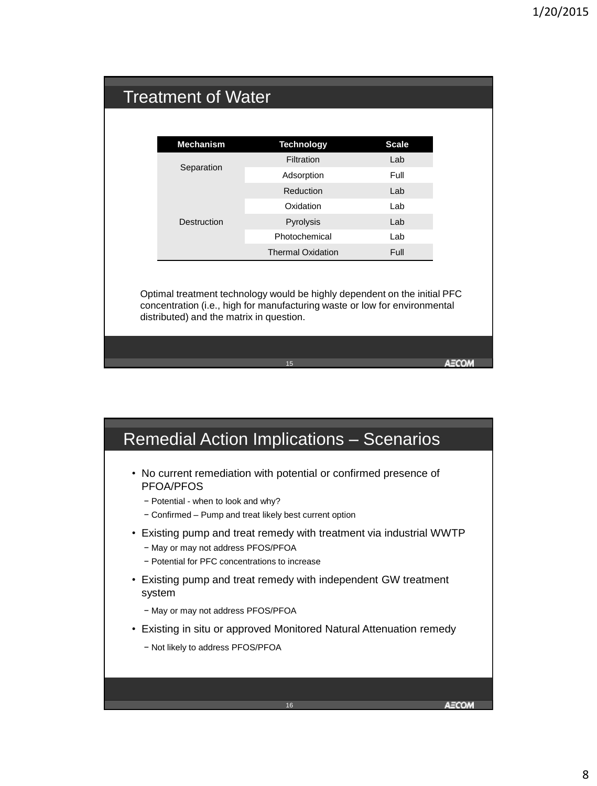|  | <b>Treatment of Water</b>                                                                                                                                                                           |                          |                           |  |  |
|--|-----------------------------------------------------------------------------------------------------------------------------------------------------------------------------------------------------|--------------------------|---------------------------|--|--|
|  |                                                                                                                                                                                                     |                          |                           |  |  |
|  | <b>Mechanism</b>                                                                                                                                                                                    | <b>Technology</b>        | <b>Scale</b>              |  |  |
|  |                                                                                                                                                                                                     | Filtration               | Lab                       |  |  |
|  | Separation                                                                                                                                                                                          | Adsorption               | Full                      |  |  |
|  |                                                                                                                                                                                                     | <b>Reduction</b>         | Lab                       |  |  |
|  |                                                                                                                                                                                                     | Oxidation                | Lab                       |  |  |
|  | Destruction                                                                                                                                                                                         | Pyrolysis                | Lab                       |  |  |
|  |                                                                                                                                                                                                     | Photochemical            | Lab                       |  |  |
|  |                                                                                                                                                                                                     | <b>Thermal Oxidation</b> | Full                      |  |  |
|  | Optimal treatment technology would be highly dependent on the initial PFC<br>concentration (i.e., high for manufacturing waste or low for environmental<br>distributed) and the matrix in question. |                          |                           |  |  |
|  |                                                                                                                                                                                                     |                          |                           |  |  |
|  |                                                                                                                                                                                                     | 15                       | $\mathbf{r} = \mathbf{r}$ |  |  |

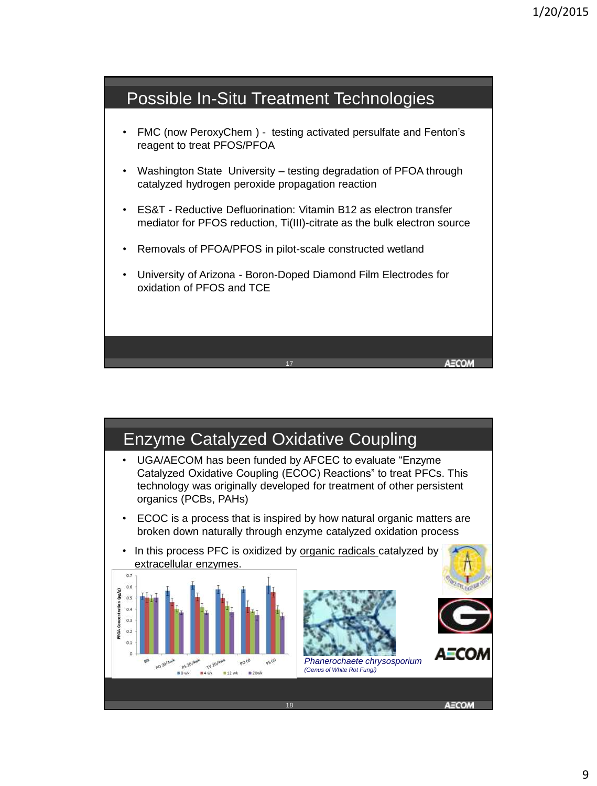

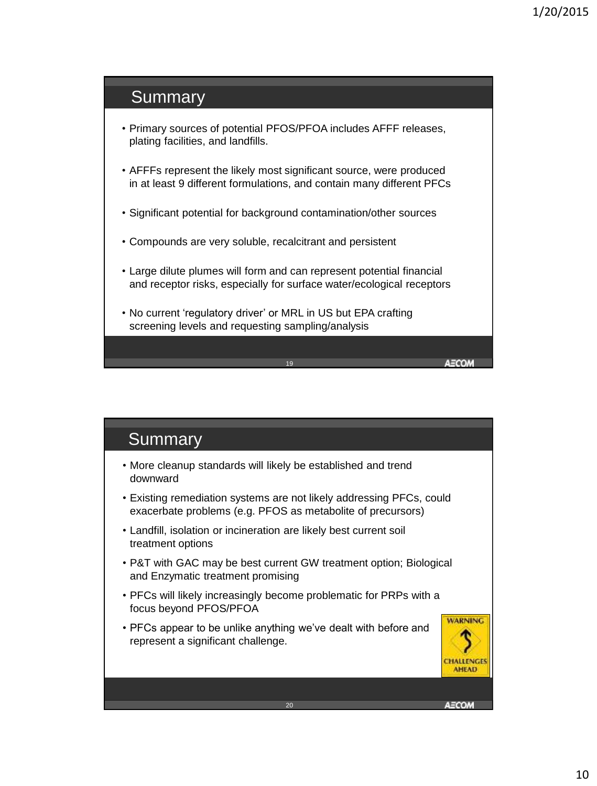